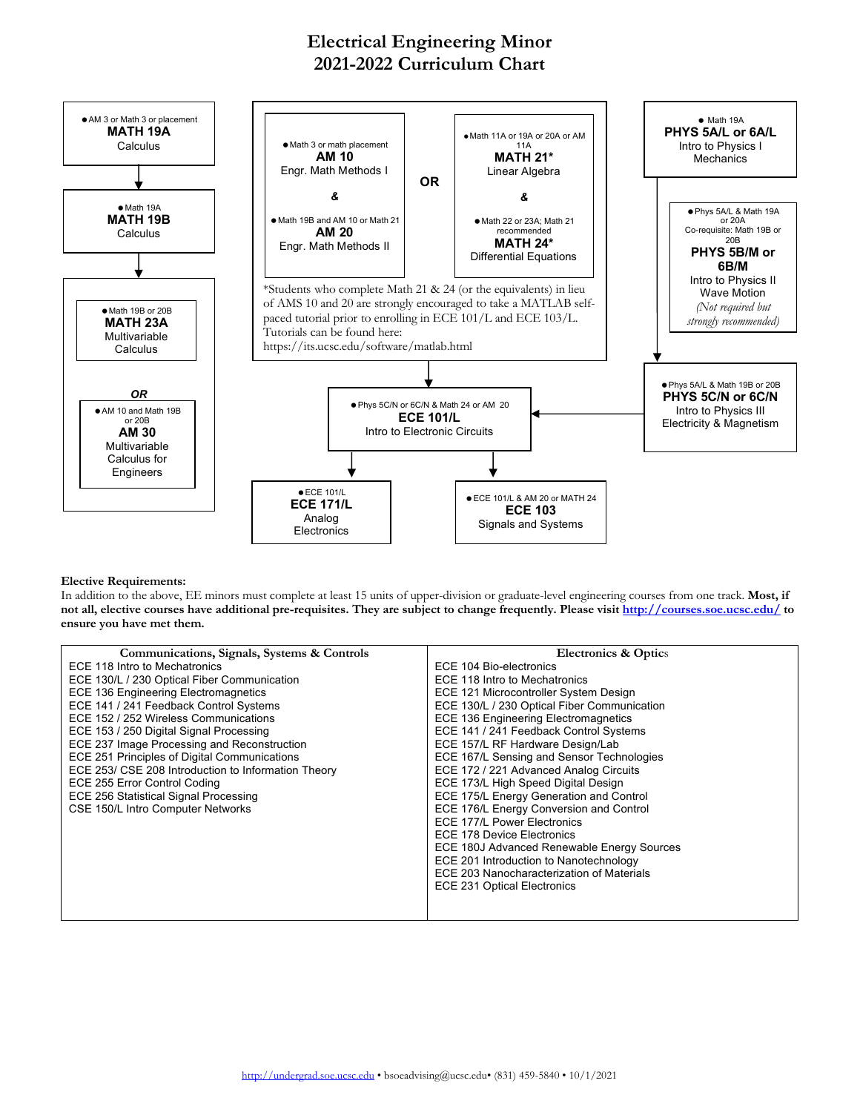## **Electrical Engineering Minor 2021-2022 Curriculum Chart**



## **Elective Requirements:**

In addition to the above, EE minors must complete at least 15 units of upper-division or graduate-level engineering courses from one track. **Most, if not all, elective courses have additional pre-requisites. They are subject to change frequently. Please visit http://courses.soe.ucsc.edu/ to ensure you have met them.**

| Communications, Signals, Systems & Controls         | <b>Electronics &amp; Optics</b>             |
|-----------------------------------------------------|---------------------------------------------|
| ECE 118 Intro to Mechatronics                       | ECE 104 Bio-electronics                     |
| ECE 130/L / 230 Optical Fiber Communication         | ECE 118 Intro to Mechatronics               |
| ECE 136 Engineering Electromagnetics                | ECE 121 Microcontroller System Design       |
| ECE 141 / 241 Feedback Control Systems              | ECE 130/L / 230 Optical Fiber Communication |
| ECE 152 / 252 Wireless Communications               | <b>ECE 136 Engineering Electromagnetics</b> |
| ECE 153 / 250 Digital Signal Processing             | ECE 141 / 241 Feedback Control Systems      |
| ECE 237 Image Processing and Reconstruction         | ECE 157/L RF Hardware Design/Lab            |
| <b>ECE 251 Principles of Digital Communications</b> | ECE 167/L Sensing and Sensor Technologies   |
| ECE 253/ CSE 208 Introduction to Information Theory | ECE 172 / 221 Advanced Analog Circuits      |
| ECE 255 Error Control Coding                        | ECE 173/L High Speed Digital Design         |
| ECE 256 Statistical Signal Processing               | ECE 175/L Energy Generation and Control     |
| CSE 150/L Intro Computer Networks                   | ECE 176/L Energy Conversion and Control     |
|                                                     | <b>ECE 177/L Power Electronics</b>          |
|                                                     | ECE 178 Device Electronics                  |
|                                                     | ECE 180J Advanced Renewable Energy Sources  |
|                                                     | ECE 201 Introduction to Nanotechnology      |
|                                                     | ECE 203 Nanocharacterization of Materials   |
|                                                     | <b>ECE 231 Optical Electronics</b>          |
|                                                     |                                             |
|                                                     |                                             |